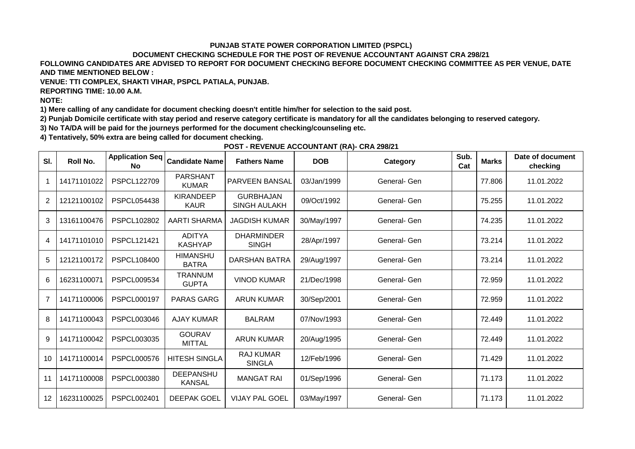## **PUNJAB STATE POWER CORPORATION LIMITED (PSPCL)**

**DOCUMENT CHECKING SCHEDULE FOR THE POST OF REVENUE ACCOUNTANT AGAINST CRA 298/21**

**FOLLOWING CANDIDATES ARE ADVISED TO REPORT FOR DOCUMENT CHECKING BEFORE DOCUMENT CHECKING COMMITTEE AS PER VENUE, DATE AND TIME MENTIONED BELOW :**

**VENUE: TTI COMPLEX, SHAKTI VIHAR, PSPCL PATIALA, PUNJAB.**

**REPORTING TIME: 10.00 A.M.**

**NOTE:**

**1) Mere calling of any candidate for document checking doesn't entitle him/her for selection to the said post.**

**2) Punjab Domicile certificate with stay period and reserve category certificate is mandatory for all the candidates belonging to reserved category.**

**3) No TA/DA will be paid for the journeys performed for the document checking/counseling etc.**

**4) Tentatively, 50% extra are being called for document checking.**

| SI.            | Roll No.    | <b>Application Seq</b><br><b>No</b> | <b>Candidate Name</b>           | <b>Fathers Name</b>               | <b>DOB</b>  | Category     | Sub.<br>Cat | <b>Marks</b> | Date of document<br>checking |
|----------------|-------------|-------------------------------------|---------------------------------|-----------------------------------|-------------|--------------|-------------|--------------|------------------------------|
|                | 14171101022 | PSPCL122709                         | <b>PARSHANT</b><br><b>KUMAR</b> | <b>PARVEEN BANSAL</b>             | 03/Jan/1999 | General- Gen |             | 77.806       | 11.01.2022                   |
| $\overline{2}$ | 12121100102 | <b>PSPCL054438</b>                  | <b>KIRANDEEP</b><br><b>KAUR</b> | <b>GURBHAJAN</b><br>SINGH AULAKH  | 09/Oct/1992 | General- Gen |             | 75.255       | 11.01.2022                   |
| 3              | 13161100476 | PSPCL102802                         | <b>AARTI SHARMA</b>             | <b>JAGDISH KUMAR</b>              | 30/May/1997 | General- Gen |             | 74.235       | 11.01.2022                   |
| 4              | 14171101010 | <b>PSPCL121421</b>                  | <b>ADITYA</b><br><b>KASHYAP</b> | <b>DHARMINDER</b><br><b>SINGH</b> | 28/Apr/1997 | General- Gen |             | 73.214       | 11.01.2022                   |
| 5              | 12121100172 | PSPCL108400                         | <b>HIMANSHU</b><br><b>BATRA</b> | <b>DARSHAN BATRA</b>              | 29/Aug/1997 | General- Gen |             | 73.214       | 11.01.2022                   |
| 6              | 16231100071 | PSPCL009534                         | <b>TRANNUM</b><br><b>GUPTA</b>  | <b>VINOD KUMAR</b>                | 21/Dec/1998 | General- Gen |             | 72.959       | 11.01.2022                   |
|                | 14171100006 | <b>PSPCL000197</b>                  | <b>PARAS GARG</b>               | <b>ARUN KUMAR</b>                 | 30/Sep/2001 | General- Gen |             | 72.959       | 11.01.2022                   |
| 8              | 14171100043 | PSPCL003046                         | AJAY KUMAR                      | <b>BALRAM</b>                     | 07/Nov/1993 | General- Gen |             | 72.449       | 11.01.2022                   |
| 9              | 14171100042 | PSPCL003035                         | <b>GOURAV</b><br><b>MITTAL</b>  | <b>ARUN KUMAR</b>                 | 20/Aug/1995 | General- Gen |             | 72.449       | 11.01.2022                   |
| 10             | 14171100014 | <b>PSPCL000576</b>                  | <b>HITESH SINGLA</b>            | <b>RAJ KUMAR</b><br><b>SINGLA</b> | 12/Feb/1996 | General- Gen |             | 71.429       | 11.01.2022                   |
| 11             | 14171100008 | <b>PSPCL000380</b>                  | DEEPANSHU<br><b>KANSAL</b>      | <b>MANGAT RAI</b>                 | 01/Sep/1996 | General- Gen |             | 71.173       | 11.01.2022                   |
| 12             | 16231100025 | PSPCL002401                         | <b>DEEPAK GOEL</b>              | <b>VIJAY PAL GOEL</b>             | 03/May/1997 | General- Gen |             | 71.173       | 11.01.2022                   |

**POST - REVENUE ACCOUNTANT (RA)- CRA 298/21**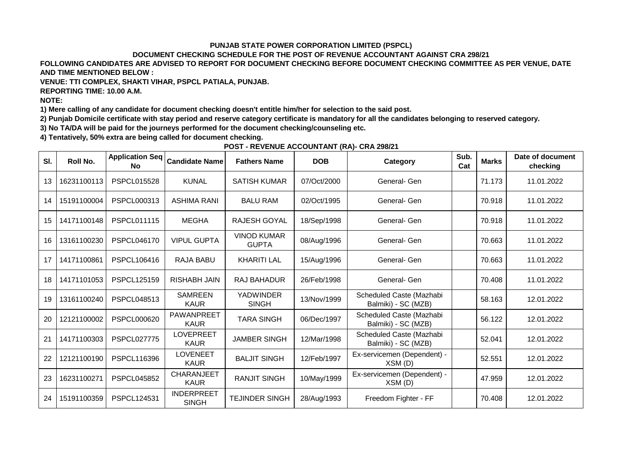## **PUNJAB STATE POWER CORPORATION LIMITED (PSPCL)**

**DOCUMENT CHECKING SCHEDULE FOR THE POST OF REVENUE ACCOUNTANT AGAINST CRA 298/21**

**FOLLOWING CANDIDATES ARE ADVISED TO REPORT FOR DOCUMENT CHECKING BEFORE DOCUMENT CHECKING COMMITTEE AS PER VENUE, DATE AND TIME MENTIONED BELOW :**

**VENUE: TTI COMPLEX, SHAKTI VIHAR, PSPCL PATIALA, PUNJAB.**

**REPORTING TIME: 10.00 A.M.**

**NOTE:**

**1) Mere calling of any candidate for document checking doesn't entitle him/her for selection to the said post.**

**2) Punjab Domicile certificate with stay period and reserve category certificate is mandatory for all the candidates belonging to reserved category.**

**3) No TA/DA will be paid for the journeys performed for the document checking/counseling etc.**

**4) Tentatively, 50% extra are being called for document checking.**

| SI. | Roll No.    | Application Seq<br><b>No</b> | <b>Candidate Name</b>             | <b>Fathers Name</b>                | <b>DOB</b>  | Category                                        | Sub.<br>Cat | <b>Marks</b> | Date of document<br>checking |
|-----|-------------|------------------------------|-----------------------------------|------------------------------------|-------------|-------------------------------------------------|-------------|--------------|------------------------------|
| 13  | 16231100113 | <b>PSPCL015528</b>           | <b>KUNAL</b>                      | <b>SATISH KUMAR</b>                | 07/Oct/2000 | General- Gen                                    |             | 71.173       | 11.01.2022                   |
| 14  | 15191100004 | PSPCL000313                  | <b>ASHIMA RANI</b>                | <b>BALU RAM</b>                    | 02/Oct/1995 | General- Gen                                    |             | 70.918       | 11.01.2022                   |
| 15  | 14171100148 | <b>PSPCL011115</b>           | <b>MEGHA</b>                      | <b>RAJESH GOYAL</b>                | 18/Sep/1998 | General- Gen                                    |             | 70.918       | 11.01.2022                   |
| 16  | 13161100230 | <b>PSPCL046170</b>           | <b>VIPUL GUPTA</b>                | <b>VINOD KUMAR</b><br><b>GUPTA</b> | 08/Aug/1996 | General- Gen                                    |             | 70.663       | 11.01.2022                   |
| 17  | 14171100861 | <b>PSPCL106416</b>           | <b>RAJA BABU</b>                  | <b>KHARITI LAL</b>                 | 15/Aug/1996 | General- Gen                                    |             | 70.663       | 11.01.2022                   |
| 18  | 14171101053 | <b>PSPCL125159</b>           | <b>RISHABH JAIN</b>               | RAJ BAHADUR                        | 26/Feb/1998 | General- Gen                                    |             | 70.408       | 11.01.2022                   |
| 19  | 13161100240 | <b>PSPCL048513</b>           | <b>SAMREEN</b><br><b>KAUR</b>     | <b>YADWINDER</b><br><b>SINGH</b>   | 13/Nov/1999 | Scheduled Caste (Mazhabi<br>Balmiki) - SC (MZB) |             | 58.163       | 12.01.2022                   |
| 20  | 12121100002 | <b>PSPCL000620</b>           | <b>PAWANPREET</b><br><b>KAUR</b>  | <b>TARA SINGH</b>                  | 06/Dec/1997 | Scheduled Caste (Mazhabi<br>Balmiki) - SC (MZB) |             | 56.122       | 12.01.2022                   |
| 21  | 14171100303 | <b>PSPCL027775</b>           | <b>LOVEPREET</b><br><b>KAUR</b>   | <b>JAMBER SINGH</b>                | 12/Mar/1998 | Scheduled Caste (Mazhabi<br>Balmiki) - SC (MZB) |             | 52.041       | 12.01.2022                   |
| 22  | 12121100190 | PSPCL116396                  | <b>LOVENEET</b><br><b>KAUR</b>    | <b>BALJIT SINGH</b>                | 12/Feb/1997 | Ex-servicemen (Dependent) -<br>$XSM$ (D)        |             | 52.551       | 12.01.2022                   |
| 23  | 16231100271 | <b>PSPCL045852</b>           | <b>CHARANJEET</b><br><b>KAUR</b>  | <b>RANJIT SINGH</b>                | 10/May/1999 | Ex-servicemen (Dependent) -<br>$XSM$ (D)        |             | 47.959       | 12.01.2022                   |
| 24  | 15191100359 | PSPCL124531                  | <b>INDERPREET</b><br><b>SINGH</b> | <b>TEJINDER SINGH</b>              | 28/Aug/1993 | Freedom Fighter - FF                            |             | 70.408       | 12.01.2022                   |

**POST - REVENUE ACCOUNTANT (RA)- CRA 298/21**